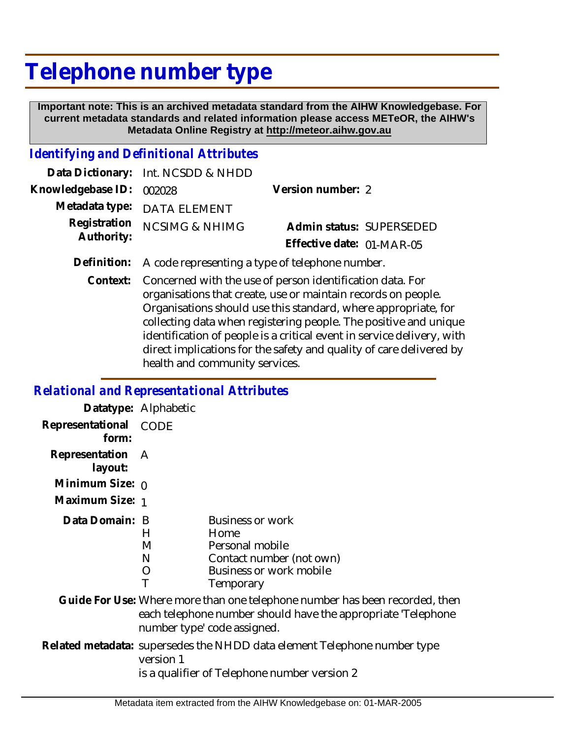## **Telephone number type**

 **Important note: This is an archived metadata standard from the AIHW Knowledgebase. For current metadata standards and related information please access METeOR, the AIHW's Metadata Online Registry at http://meteor.aihw.gov.au**

## *Identifying and Definitional Attributes*

|                          | Data Dictionary: Int. NCSDD & NHDD |                           |  |
|--------------------------|------------------------------------|---------------------------|--|
| Knowledgebase ID: 002028 |                                    | Version number: 2         |  |
|                          | Metadata type: DATA ELEMENT        |                           |  |
| Authority:               | Registration NCSIMG & NHIMG        | Admin status: SUPERSEDED  |  |
|                          |                                    | Effective date: 01-MAR-05 |  |
|                          |                                    |                           |  |

- **Definition:** A code representing a type of telephone number.
	- Context: Concerned with the use of person identification data. For organisations that create, use or maintain records on people. Organisations should use this standard, where appropriate, for collecting data when registering people. The positive and unique identification of people is a critical event in service delivery, with direct implications for the safety and quality of care delivered by health and community services.

## *Relational and Representational Attributes*

|                             | Datatype: Alphabetic |                                                                                                                                                                            |
|-----------------------------|----------------------|----------------------------------------------------------------------------------------------------------------------------------------------------------------------------|
| Representational<br>form:   | CODE                 |                                                                                                                                                                            |
| Representation A<br>layout: |                      |                                                                                                                                                                            |
| Minimum Size: $0$           |                      |                                                                                                                                                                            |
| Maximum Size: 1             |                      |                                                                                                                                                                            |
| Data Domain: B              | H<br>M<br>N<br>O     | <b>Business or work</b><br>Home<br>Personal mobile<br>Contact number (not own)<br>Business or work mobile<br>Temporary                                                     |
|                             |                      | Guide For Use: Where more than one telephone number has been recorded, then<br>each telephone number should have the appropriate 'Telephone<br>number type' code assigned. |
|                             | version 1            | Related metadata: supersedes the NHDD data element Telephone number type<br>is a qualifier of Telephone number version 2                                                   |